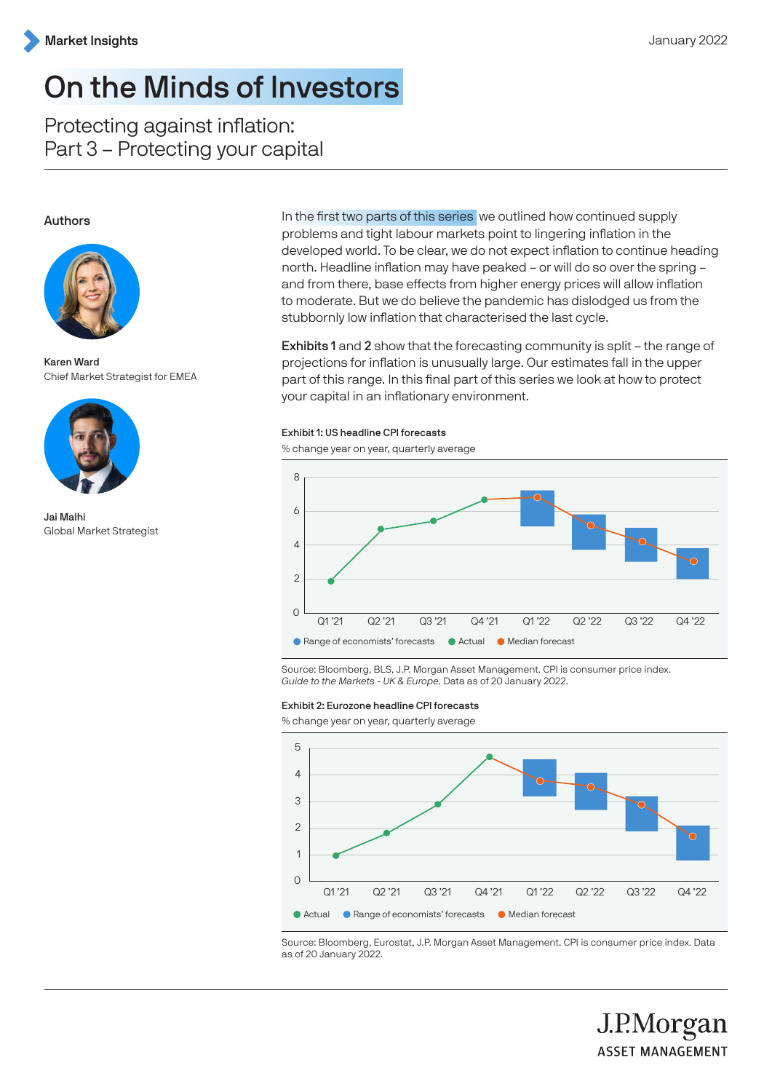

# On the Minds of Investors

Protecting against inflation: Part 3 – Protecting your capital

## Authors



Karen Ward Chief Market Strategist for EMEA



Jai Malhi Global Market Strategist

In the first two parts of this series we outlined how continued supply problems and tight labour markets point to lingering inflation in the developed world. To be clear, we do not expect inflation to continue heading north. Headline inflation may have peaked – or will do so over the spring – and from there, base effects from higher energy prices will allow inflation to moderate. But we do believe the pandemic has dislodged us from the stubbornly low inflation that characterised the last cycle.

Exhibits 1 and 2 show that the forecasting community is split – the range of projections for inflation is unusually large. Our estimates fall in the upper part of this range. In this final part of this series we look at how to protect your capital in an inflationary environment.

#### Exhibit 1: US headline CPI forecasts

% change year on year, quarterly average



Source: Bloomberg, BLS, J.P. Morgan Asset Management. CPI is consumer price index. Guide to the Markets - UK & Europe. Data as of 20 January 2022.

#### Exhibit 2: Eurozone headline CPI forecasts

% change year on year, quarterly average



Source: Bloomberg, Eurostat, J.P. Morgan Asset Management. CPI is consumer price index. Data as of 20 January 2022.

J.P.Morgan

**ASSET MANAGEMENT**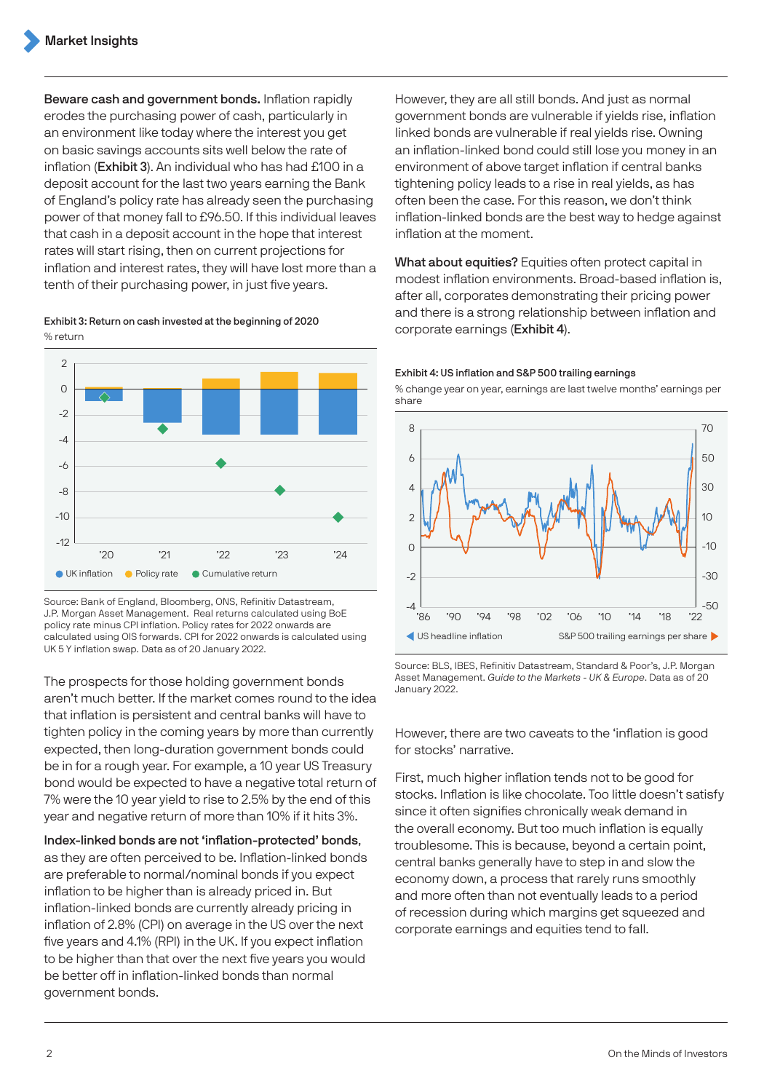Beware cash and government bonds. Inflation rapidly erodes the purchasing power of cash, particularly in an environment like today where the interest you get on basic savings accounts sits well below the rate of inflation (Exhibit 3). An individual who has had £100 in a deposit account for the last two years earning the Bank of England's policy rate has already seen the purchasing power of that money fall to £96.50. If this individual leaves that cash in a deposit account in the hope that interest rates will start rising, then on current projections for inflation and interest rates, they will have lost more than a tenth of their purchasing power, in just five years.

Exhibit 3: Return on cash invested at the beginning of 2020 % return



Source: Bank of England, Bloomberg, ONS, Refinitiv Datastream, J.P. Morgan Asset Management. Real returns calculated using BoE policy rate minus CPI inflation. Policy rates for 2022 onwards are calculated using OIS forwards. CPI for 2022 onwards is calculated using UK 5 Y inflation swap. Data as of 20 January 2022.

The prospects for those holding government bonds aren't much better. If the market comes round to the idea that inflation is persistent and central banks will have to tighten policy in the coming years by more than currently expected, then long-duration government bonds could be in for a rough year. For example, a 10 year US Treasury bond would be expected to have a negative total return of 7% were the 10 year yield to rise to 2.5% by the end of this year and negative return of more than 10% if it hits 3%.

# Index-linked bonds are not 'inflation-protected' bonds,

as they are often perceived to be. Inflation-linked bonds are preferable to normal/nominal bonds if you expect inflation to be higher than is already priced in. But inflation-linked bonds are currently already pricing in inflation of 2.8% (CPI) on average in the US over the next five years and 4.1% (RPI) in the UK. If you expect inflation to be higher than that over the next five years you would be better off in inflation-linked bonds than normal government bonds.

However, they are all still bonds. And just as normal government bonds are vulnerable if yields rise, inflation linked bonds are vulnerable if real yields rise. Owning an inflation-linked bond could still lose you money in an environment of above target inflation if central banks tightening policy leads to a rise in real yields, as has often been the case. For this reason, we don't think inflation-linked bonds are the best way to hedge against inflation at the moment.

What about equities? Equities often protect capital in modest inflation environments. Broad-based inflation is, after all, corporates demonstrating their pricing power and there is a strong relationship between inflation and corporate earnings (Exhibit 4).

### Exhibit 4: US inflation and S&P 500 trailing earnings

% change year on year, earnings are last twelve months' earnings per share



Source: BLS, IBES, Refinitiv Datastream, Standard & Poor's, J.P. Morgan Asset Management. Guide to the Markets - UK & Europe. Data as of 20 January 2022.

However, there are two caveats to the 'inflation is good for stocks' narrative.

First, much higher inflation tends not to be good for stocks. Inflation is like chocolate. Too little doesn't satisfy since it often signifies chronically weak demand in the overall economy. But too much inflation is equally troublesome. This is because, beyond a certain point, central banks generally have to step in and slow the economy down, a process that rarely runs smoothly and more often than not eventually leads to a period of recession during which margins get squeezed and corporate earnings and equities tend to fall.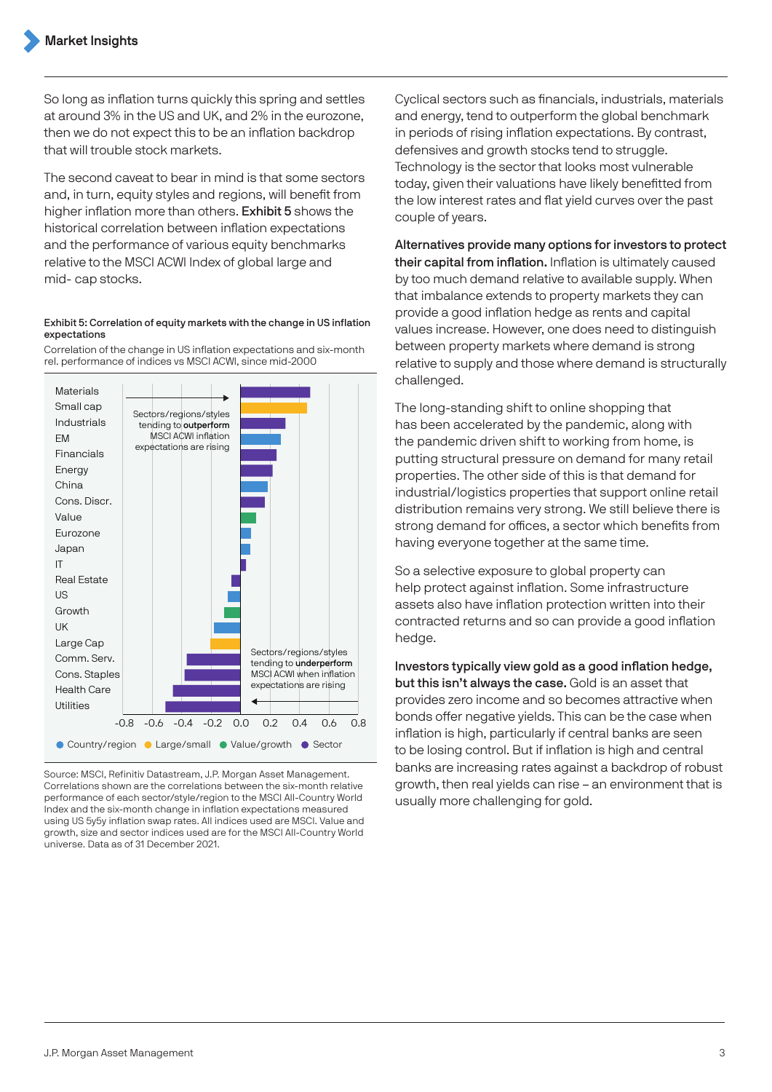So long as inflation turns quickly this spring and settles at around 3% in the US and UK, and 2% in the eurozone, then we do not expect this to be an inflation backdrop that will trouble stock markets.

The second caveat to bear in mind is that some sectors and, in turn, equity styles and regions, will benefit from higher inflation more than others. Exhibit 5 shows the historical correlation between inflation expectations and the performance of various equity benchmarks relative to the MSCI ACWI Index of global large and mid- cap stocks.

### Exhibit 5: Correlation of equity markets with the change in US inflation expectations

Correlation of the change in US inflation expectations and six-month rel. performance of indices vs MSCI ACWI, since mid-2000



Source: MSCI, Refinitiv Datastream, J.P. Morgan Asset Management. Correlations shown are the correlations between the six-month relative performance of each sector/style/region to the MSCI All-Country World Index and the six-month change in inflation expectations measured using US 5y5y inflation swap rates. All indices used are MSCI. Value and growth, size and sector indices used are for the MSCI All-Country World universe. Data as of 31 December 2021.

Cyclical sectors such as financials, industrials, materials and energy, tend to outperform the global benchmark in periods of rising inflation expectations. By contrast, defensives and growth stocks tend to struggle. Technology is the sector that looks most vulnerable today, given their valuations have likely benefitted from the low interest rates and flat yield curves over the past couple of years.

Alternatives provide many options for investors to protect their capital from inflation. Inflation is ultimately caused by too much demand relative to available supply. When that imbalance extends to property markets they can provide a good inflation hedge as rents and capital values increase. However, one does need to distinguish between property markets where demand is strong relative to supply and those where demand is structurally challenged.

The long-standing shift to online shopping that has been accelerated by the pandemic, along with the pandemic driven shift to working from home, is putting structural pressure on demand for many retail properties. The other side of this is that demand for industrial/logistics properties that support online retail distribution remains very strong. We still believe there is strong demand for offices, a sector which benefits from having everyone together at the same time.

So a selective exposure to global property can help protect against inflation. Some infrastructure assets also have inflation protection written into their contracted returns and so can provide a good inflation hedge.

Investors typically view gold as a good inflation hedge, but this isn't always the case. Gold is an asset that provides zero income and so becomes attractive when bonds offer negative yields. This can be the case when inflation is high, particularly if central banks are seen to be losing control. But if inflation is high and central banks are increasing rates against a backdrop of robust growth, then real yields can rise – an environment that is usually more challenging for gold.